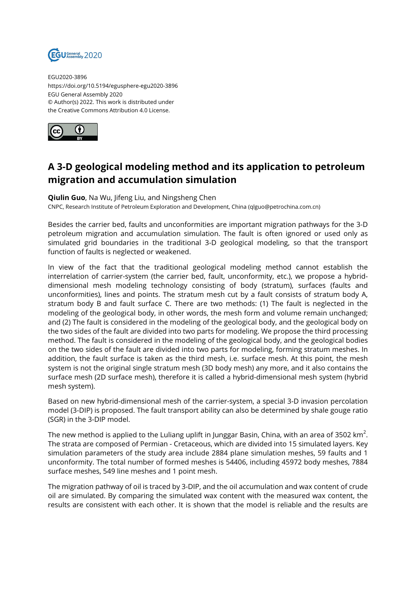

EGU2020-3896 https://doi.org/10.5194/egusphere-egu2020-3896 EGU General Assembly 2020 © Author(s) 2022. This work is distributed under the Creative Commons Attribution 4.0 License.



## **A 3-D geological modeling method and its application to petroleum migration and accumulation simulation**

**Qiulin Guo**, Na Wu, Jifeng Liu, and Ningsheng Chen

CNPC, Research Institute of Petroleum Exploration and Development, China (qlguo@petrochina.com.cn)

Besides the carrier bed, faults and unconformities are important migration pathways for the 3-D petroleum migration and accumulation simulation. The fault is often ignored or used only as simulated grid boundaries in the traditional 3-D geological modeling, so that the transport function of faults is neglected or weakened.

In view of the fact that the traditional geological modeling method cannot establish the interrelation of carrier-system (the carrier bed, fault, unconformity, etc.), we propose a hybriddimensional mesh modeling technology consisting of body (stratum), surfaces (faults and unconformities), lines and points. The stratum mesh cut by a fault consists of stratum body A, stratum body B and fault surface C. There are two methods: (1) The fault is neglected in the modeling of the geological body, in other words, the mesh form and volume remain unchanged; and (2) The fault is considered in the modeling of the geological body, and the geological body on the two sides of the fault are divided into two parts for modeling. We propose the third processing method. The fault is considered in the modeling of the geological body, and the geological bodies on the two sides of the fault are divided into two parts for modeling, forming stratum meshes. In addition, the fault surface is taken as the third mesh, i.e. surface mesh. At this point, the mesh system is not the original single stratum mesh (3D body mesh) any more, and it also contains the surface mesh (2D surface mesh), therefore it is called a hybrid-dimensional mesh system (hybrid mesh system).

Based on new hybrid-dimensional mesh of the carrier-system, a special 3-D invasion percolation model (3-DIP) is proposed. The fault transport ability can also be determined by shale gouge ratio (SGR) in the 3-DIP model.

The new method is applied to the Luliang uplift in Junggar Basin, China, with an area of 3502 km $^2\!$ . The strata are composed of Permian - Cretaceous, which are divided into 15 simulated layers. Key simulation parameters of the study area include 2884 plane simulation meshes, 59 faults and 1 unconformity. The total number of formed meshes is 54406, including 45972 body meshes, 7884 surface meshes, 549 line meshes and 1 point mesh.

The migration pathway of oil is traced by 3-DIP, and the oil accumulation and wax content of crude oil are simulated. By comparing the simulated wax content with the measured wax content, the results are consistent with each other. It is shown that the model is reliable and the results are